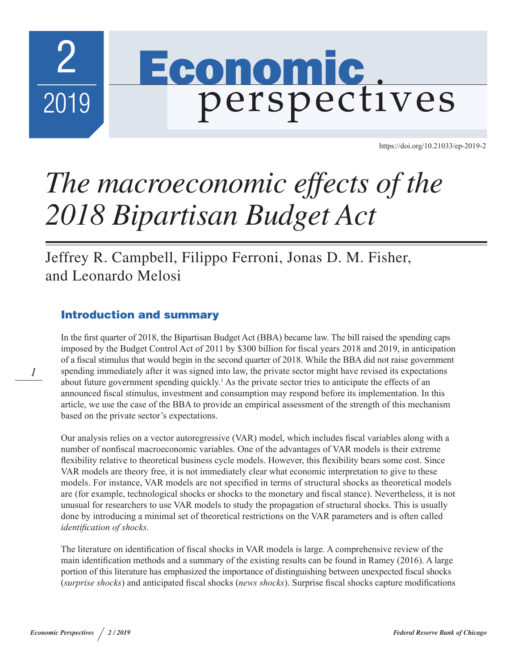

<https://doi.org/10.21033/ep-2019-2>

# *The macroeconomic effects of the 2018 Bipartisan Budget Act*

Jeffrey R. Campbell, Filippo Ferroni, Jonas D. M. Fisher, and Leonardo Melosi

# Introduction and summary

In the first quarter of 2018, the Bipartisan Budget Act (BBA) became law. The bill raised the spending caps imposed by the Budget Control Act of 2011 by \$300 billion for fiscal years 2018 and 2019, in anticipation of a fiscal stimulus that would begin in the second quarter of 2018. While the BBA did not raise government spending immediately after it was signed into law, the private sector might have revised its expectations about future government spending quickly.<sup>1</sup> As the private sector tries to anticipate the effects of an announced fiscal stimulus, investment and consumption may respond before its implementation. In this article, we use the case of the BBA to provide an empirical assessment of the strength of this mechanism based on the private sector's expectations.

Our analysis relies on a vector autoregressive (VAR) model, which includes fiscal variables along with a number of nonfiscal macroeconomic variables. One of the advantages of VAR models is their extreme flexibility relative to theoretical business cycle models. However, this flexibility bears some cost. Since VAR models are theory free, it is not immediately clear what economic interpretation to give to these models. For instance, VAR models are not specified in terms of structural shocks as theoretical models are (for example, technological shocks or shocks to the monetary and fiscal stance). Nevertheless, it is not unusual for researchers to use VAR models to study the propagation of structural shocks. This is usually done by introducing a minimal set of theoretical restrictions on the VAR parameters and is often called *identification of shocks*.

The literature on identification of fiscal shocks in VAR models is large. A comprehensive review of the main identification methods and a summary of the existing results can be found in Ramey (2016). A large portion of this literature has emphasized the importance of distinguishing between unexpected fiscal shocks (*surprise shocks*) and anticipated fiscal shocks (*news shocks*). Surprise fiscal shocks capture modifications

*1*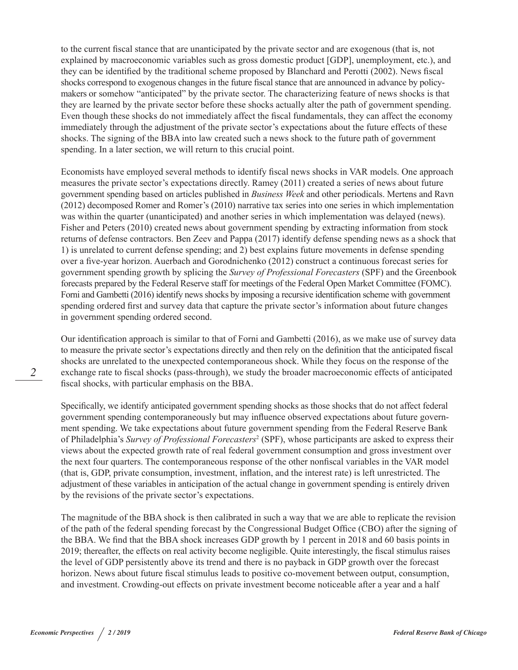to the current fiscal stance that are unanticipated by the private sector and are exogenous (that is, not explained by macroeconomic variables such as gross domestic product [GDP], unemployment, etc.), and they can be identified by the traditional scheme proposed by Blanchard and Perotti (2002). News fiscal shocks correspond to exogenous changes in the future fiscal stance that are announced in advance by policymakers or somehow "anticipated" by the private sector. The characterizing feature of news shocks is that they are learned by the private sector before these shocks actually alter the path of government spending. Even though these shocks do not immediately affect the fiscal fundamentals, they can affect the economy immediately through the adjustment of the private sector's expectations about the future effects of these shocks. The signing of the BBA into law created such a news shock to the future path of government spending. In a later section, we will return to this crucial point.

Economists have employed several methods to identify fiscal news shocks in VAR models. One approach measures the private sector's expectations directly. Ramey (2011) created a series of news about future government spending based on articles published in *Business Week* and other periodicals. Mertens and Ravn (2012) decomposed Romer and Romer's (2010) narrative tax series into one series in which implementation was within the quarter (unanticipated) and another series in which implementation was delayed (news). Fisher and Peters (2010) created news about government spending by extracting information from stock returns of defense contractors. Ben Zeev and Pappa (2017) identify defense spending news as a shock that 1) is unrelated to current defense spending; and 2) best explains future movements in defense spending over a five-year horizon. Auerbach and Gorodnichenko (2012) construct a continuous forecast series for government spending growth by splicing the *Survey of Professional Forecasters* (SPF) and the Greenbook forecasts prepared by the Federal Reserve staff for meetings of the Federal Open Market Committee (FOMC). Forni and Gambetti (2016) identify news shocks by imposing a recursive identification scheme with government spending ordered first and survey data that capture the private sector's information about future changes in government spending ordered second.

Our identification approach is similar to that of Forni and Gambetti (2016), as we make use of survey data to measure the private sector's expectations directly and then rely on the definition that the anticipated fiscal shocks are unrelated to the unexpected contemporaneous shock. While they focus on the response of the exchange rate to fiscal shocks (pass-through), we study the broader macroeconomic effects of anticipated fiscal shocks, with particular emphasis on the BBA.

Specifically, we identify anticipated government spending shocks as those shocks that do not affect federal government spending contemporaneously but may influence observed expectations about future government spending. We take expectations about future government spending from the Federal Reserve Bank of Philadelphia's *Survey of Professional Forecasters*<sup>2</sup> (SPF), whose participants are asked to express their views about the expected growth rate of real federal government consumption and gross investment over the next four quarters. The contemporaneous response of the other nonfiscal variables in the VAR model (that is, GDP, private consumption, investment, inflation, and the interest rate) is left unrestricted. The adjustment of these variables in anticipation of the actual change in government spending is entirely driven by the revisions of the private sector's expectations.

The magnitude of the BBA shock is then calibrated in such a way that we are able to replicate the revision of the path of the federal spending forecast by the Congressional Budget Office (CBO) after the signing of the BBA. We find that the BBA shock increases GDP growth by 1 percent in 2018 and 60 basis points in 2019; thereafter, the effects on real activity become negligible. Quite interestingly, the fiscal stimulus raises the level of GDP persistently above its trend and there is no payback in GDP growth over the forecast horizon. News about future fiscal stimulus leads to positive co-movement between output, consumption, and investment. Crowding-out effects on private investment become noticeable after a year and a half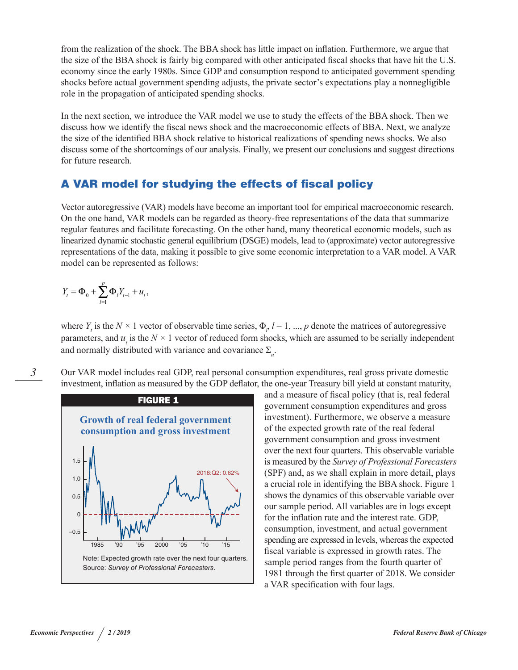from the realization of the shock. The BBA shock has little impact on inflation. Furthermore, we argue that the size of the BBA shock is fairly big compared with other anticipated fiscal shocks that have hit the U.S. economy since the early 1980s. Since GDP and consumption respond to anticipated government spending shocks before actual government spending adjusts, the private sector's expectations play a nonnegligible role in the propagation of anticipated spending shocks.

In the next section, we introduce the VAR model we use to study the effects of the BBA shock. Then we discuss how we identify the fiscal news shock and the macroeconomic effects of BBA. Next, we analyze the size of the identified BBA shock relative to historical realizations of spending news shocks. We also discuss some of the shortcomings of our analysis. Finally, we present our conclusions and suggest directions for future research.

## A VAR model for studying the effects of fiscal policy

Vector autoregressive (VAR) models have become an important tool for empirical macroeconomic research. On the one hand, VAR models can be regarded as theory-free representations of the data that summarize regular features and facilitate forecasting. On the other hand, many theoretical economic models, such as linearized dynamic stochastic general equilibrium (DSGE) models, lead to (approximate) vector autoregressive representations of the data, making it possible to give some economic interpretation to a VAR model. A VAR model can be represented as follows:

$$
Y_{t} = \Phi_{0} + \sum_{l=1}^{p} \Phi_{l} Y_{t-1} + u_{t},
$$

where  $Y_t$  is the  $N \times 1$  vector of observable time series,  $\Phi_p$ ,  $l = 1, ..., p$  denote the matrices of autoregressive parameters, and  $u_t$  is the  $N \times 1$  vector of reduced form shocks, which are assumed to be serially independent and normally distributed with variance and covariance Σ*<sup>u</sup>* .

*3*

Our VAR model includes real GDP, real personal consumption expenditures, real gross private domestic investment, inflation as measured by the GDP deflator, the one-year Treasury bill yield at constant maturity,



and a measure of fiscal policy (that is, real federal government consumption expenditures and gross investment). Furthermore, we observe a measure of the expected growth rate of the real federal government consumption and gross investment over the next four quarters. This observable variable is measured by the *Survey of Professional Forecasters* (SPF) and, as we shall explain in more detail, plays a crucial role in identifying the BBA shock. Figure 1 shows the dynamics of this observable variable over our sample period. All variables are in logs except for the inflation rate and the interest rate. GDP, consumption, investment, and actual government spending are expressed in levels, whereas the expected fiscal variable is expressed in growth rates. The sample period ranges from the fourth quarter of 1981 through the first quarter of 2018. We consider a VAR specification with four lags.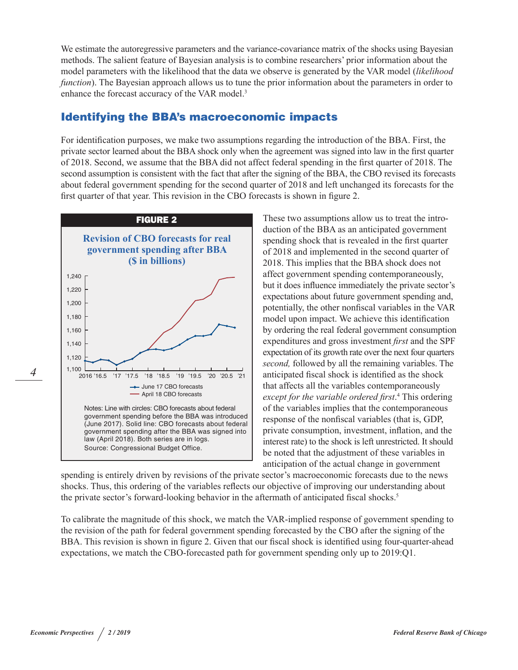We estimate the autoregressive parameters and the variance-covariance matrix of the shocks using Bayesian methods. The salient feature of Bayesian analysis is to combine researchers' prior information about the model parameters with the likelihood that the data we observe is generated by the VAR model (*likelihood function*). The Bayesian approach allows us to tune the prior information about the parameters in order to enhance the forecast accuracy of the VAR model.<sup>3</sup>

## Identifying the BBA's macroeconomic impacts

For identification purposes, we make two assumptions regarding the introduction of the BBA. First, the private sector learned about the BBA shock only when the agreement was signed into law in the first quarter of 2018. Second, we assume that the BBA did not affect federal spending in the first quarter of 2018. The second assumption is consistent with the fact that after the signing of the BBA, the CBO revised its forecasts about federal government spending for the second quarter of 2018 and left unchanged its forecasts for the first quarter of that year. This revision in the CBO forecasts is shown in figure 2.



These two assumptions allow us to treat the introduction of the BBA as an anticipated government spending shock that is revealed in the first quarter of 2018 and implemented in the second quarter of 2018. This implies that the BBA shock does not affect government spending contemporaneously, but it does influence immediately the private sector's expectations about future government spending and, potentially, the other nonfiscal variables in the VAR model upon impact. We achieve this identification by ordering the real federal government consumption expenditures and gross investment *first* and the SPF expectation of its growth rate over the next four quarters *second,* followed by all the remaining variables. The anticipated fiscal shock is identified as the shock that affects all the variables contemporaneously *except for the variable ordered first*. 4 This ordering of the variables implies that the contemporaneous response of the nonfiscal variables (that is, GDP, private consumption, investment, inflation, and the interest rate) to the shock is left unrestricted. It should be noted that the adjustment of these variables in anticipation of the actual change in government

spending is entirely driven by revisions of the private sector's macroeconomic forecasts due to the news shocks. Thus, this ordering of the variables reflects our objective of improving our understanding about the private sector's forward-looking behavior in the aftermath of anticipated fiscal shocks.<sup>5</sup>

To calibrate the magnitude of this shock, we match the VAR-implied response of government spending to the revision of the path for federal government spending forecasted by the CBO after the signing of the BBA. This revision is shown in figure 2. Given that our fiscal shock is identified using four-quarter-ahead expectations, we match the CBO-forecasted path for government spending only up to 2019:Q1.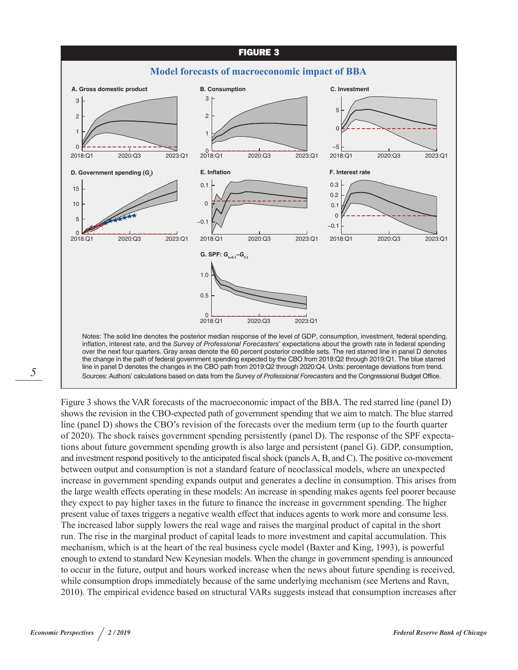

*5*

Figure 3 shows the VAR forecasts of the macroeconomic impact of the BBA. The red starred line (panel D) shows the revision in the CBO-expected path of government spending that we aim to match. The blue starred line (panel D) shows the CBO's revision of the forecasts over the medium term (up to the fourth quarter of 2020). The shock raises government spending persistently (panel D). The response of the SPF expectations about future government spending growth is also large and persistent (panel G). GDP, consumption, and investment respond positively to the anticipated fiscal shock (panels A, B, and C). The positive co-movement between output and consumption is not a standard feature of neoclassical models, where an unexpected increase in government spending expands output and generates a decline in consumption. This arises from the large wealth effects operating in these models: An increase in spending makes agents feel poorer because they expect to pay higher taxes in the future to finance the increase in government spending. The higher present value of taxes triggers a negative wealth effect that induces agents to work more and consume less. The increased labor supply lowers the real wage and raises the marginal product of capital in the short run. The rise in the marginal product of capital leads to more investment and capital accumulation. This mechanism, which is at the heart of the real business cycle model (Baxter and King, 1993), is powerful enough to extend to standard New Keynesian models. When the change in government spending is announced

Sources: Authors' calculations based on data from the *Survey of Professional Forecasters* and the Congressional Budget Office.

to occur in the future, output and hours worked increase when the news about future spending is received, while consumption drops immediately because of the same underlying mechanism (see Mertens and Ravn, 2010). The empirical evidence based on structural VARs suggests instead that consumption increases after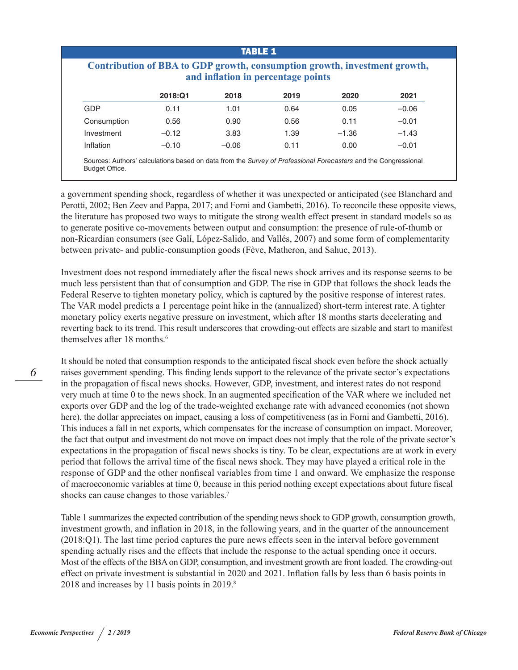#### TABLE 1

|             | and inflation in percentage points |         |      |         |         |  |
|-------------|------------------------------------|---------|------|---------|---------|--|
|             | 2018:Q1                            | 2018    | 2019 | 2020    | 2021    |  |
| GDP         | 0.11                               | 1.01    | 0.64 | 0.05    | $-0.06$ |  |
| Consumption | 0.56                               | 0.90    | 0.56 | 0.11    | $-0.01$ |  |
| Investment  | $-0.12$                            | 3.83    | 1.39 | $-1.36$ | $-1.43$ |  |
| Inflation   | $-0.10$                            | $-0.06$ | 0.11 | 0.00    | $-0.01$ |  |

a government spending shock, regardless of whether it was unexpected or anticipated (see Blanchard and Perotti, 2002; Ben Zeev and Pappa, 2017; and Forni and Gambetti, 2016). To reconcile these opposite views, the literature has proposed two ways to mitigate the strong wealth effect present in standard models so as to generate positive co-movements between output and consumption: the presence of rule-of-thumb or non-Ricardian consumers (see Galí, López-Salido, and Vallés, 2007) and some form of complementarity between private- and public-consumption goods (Fève, Matheron, and Sahuc, 2013).

Investment does not respond immediately after the fiscal news shock arrives and its response seems to be much less persistent than that of consumption and GDP. The rise in GDP that follows the shock leads the Federal Reserve to tighten monetary policy, which is captured by the positive response of interest rates. The VAR model predicts a 1 percentage point hike in the (annualized) short-term interest rate. A tighter monetary policy exerts negative pressure on investment, which after 18 months starts decelerating and reverting back to its trend. This result underscores that crowding-out effects are sizable and start to manifest themselves after 18 months.<sup>6</sup>

It should be noted that consumption responds to the anticipated fiscal shock even before the shock actually raises government spending. This finding lends support to the relevance of the private sector's expectations in the propagation of fiscal news shocks. However, GDP, investment, and interest rates do not respond very much at time 0 to the news shock. In an augmented specification of the VAR where we included net exports over GDP and the log of the trade-weighted exchange rate with advanced economies (not shown here), the dollar appreciates on impact, causing a loss of competitiveness (as in Forni and Gambetti, 2016). This induces a fall in net exports, which compensates for the increase of consumption on impact. Moreover, the fact that output and investment do not move on impact does not imply that the role of the private sector's expectations in the propagation of fiscal news shocks is tiny. To be clear, expectations are at work in every period that follows the arrival time of the fiscal news shock. They may have played a critical role in the response of GDP and the other nonfiscal variables from time 1 and onward. We emphasize the response of macroeconomic variables at time 0, because in this period nothing except expectations about future fiscal shocks can cause changes to those variables.7

Table 1 summarizes the expected contribution of the spending news shock to GDP growth, consumption growth, investment growth, and inflation in 2018, in the following years, and in the quarter of the announcement (2018:Q1). The last time period captures the pure news effects seen in the interval before government spending actually rises and the effects that include the response to the actual spending once it occurs. Most of the effects of the BBA on GDP, consumption, and investment growth are front loaded. The crowding-out effect on private investment is substantial in 2020 and 2021. Inflation falls by less than 6 basis points in 2018 and increases by 11 basis points in 2019.<sup>8</sup>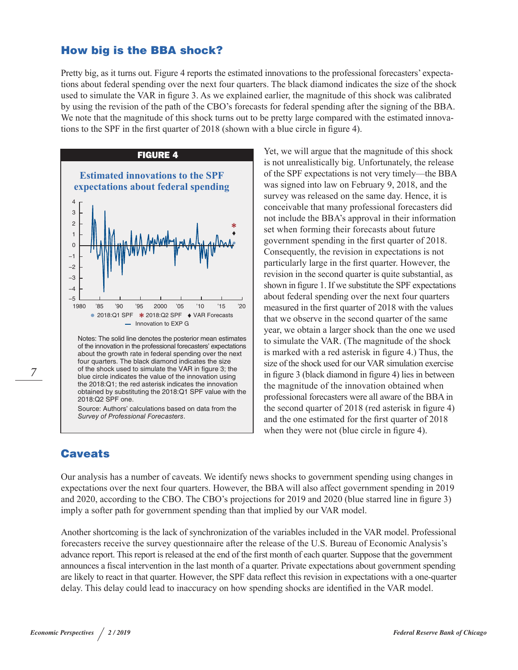### How big is the BBA shock?

Pretty big, as it turns out. Figure 4 reports the estimated innovations to the professional forecasters' expectations about federal spending over the next four quarters. The black diamond indicates the size of the shock used to simulate the VAR in figure 3. As we explained earlier, the magnitude of this shock was calibrated by using the revision of the path of the CBO's forecasts for federal spending after the signing of the BBA. We note that the magnitude of this shock turns out to be pretty large compared with the estimated innovations to the SPF in the first quarter of 2018 (shown with a blue circle in figure 4).



Notes: The solid line denotes the posterior mean estimates of the innovation in the professional forecasters' expectations about the growth rate in federal spending over the next four quarters. The black diamond indicates the size of the shock used to simulate the VAR in figure 3; the blue circle indicates the value of the innovation using the 2018:Q1; the red asterisk indicates the innovation obtained by substituting the 2018:Q1 SPF value with the 2018:Q2 SPF one.

Source: Authors' calculations based on data from the *Survey of Professional Forecasters*.

# **Caveats**

Yet, we will argue that the magnitude of this shock is not unrealistically big. Unfortunately, the release of the SPF expectations is not very timely—the BBA was signed into law on February 9, 2018, and the survey was released on the same day. Hence, it is conceivable that many professional forecasters did not include the BBA's approval in their information set when forming their forecasts about future government spending in the first quarter of 2018. Consequently, the revision in expectations is not particularly large in the first quarter. However, the revision in the second quarter is quite substantial, as shown in figure 1. If we substitute the SPF expectations about federal spending over the next four quarters measured in the first quarter of 2018 with the values that we observe in the second quarter of the same year, we obtain a larger shock than the one we used to simulate the VAR. (The magnitude of the shock is marked with a red asterisk in figure 4.) Thus, the size of the shock used for our VAR simulation exercise in figure 3 (black diamond in figure 4) lies in between the magnitude of the innovation obtained when professional forecasters were all aware of the BBA in the second quarter of 2018 (red asterisk in figure 4) and the one estimated for the first quarter of 2018 when they were not (blue circle in figure 4).

Our analysis has a number of caveats. We identify news shocks to government spending using changes in expectations over the next four quarters. However, the BBA will also affect government spending in 2019 and 2020, according to the CBO. The CBO's projections for 2019 and 2020 (blue starred line in figure 3) imply a softer path for government spending than that implied by our VAR model.

Another shortcoming is the lack of synchronization of the variables included in the VAR model. Professional forecasters receive the survey questionnaire after the release of the U.S. Bureau of Economic Analysis's advance report. This report is released at the end of the first month of each quarter. Suppose that the government announces a fiscal intervention in the last month of a quarter. Private expectations about government spending are likely to react in that quarter. However, the SPF data reflect this revision in expectations with a one-quarter delay. This delay could lead to inaccuracy on how spending shocks are identified in the VAR model.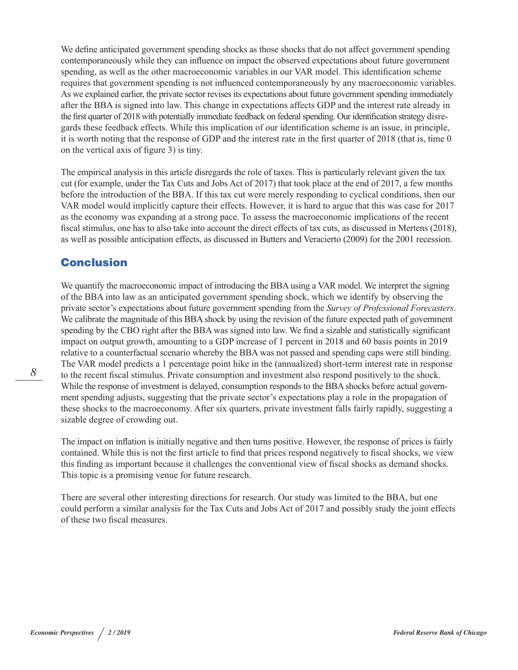We define anticipated government spending shocks as those shocks that do not affect government spending contemporaneously while they can influence on impact the observed expectations about future government spending, as well as the other macroeconomic variables in our VAR model. This identification scheme requires that government spending is not influenced contemporaneously by any macroeconomic variables. As we explained earlier, the private sector revises its expectations about future government spending immediately after the BBA is signed into law. This change in expectations affects GDP and the interest rate already in the first quarter of 2018 with potentially immediate feedback on federal spending. Our identification strategy disregards these feedback effects. While this implication of our identification scheme is an issue, in principle, it is worth noting that the response of GDP and the interest rate in the first quarter of 2018 (that is, time 0 on the vertical axis of figure 3) is tiny.

The empirical analysis in this article disregards the role of taxes. This is particularly relevant given the tax cut (for example, under the Tax Cuts and Jobs Act of 2017) that took place at the end of 2017, a few months before the introduction of the BBA. If this tax cut were merely responding to cyclical conditions, then our VAR model would implicitly capture their effects. However, it is hard to argue that this was case for 2017 as the economy was expanding at a strong pace. To assess the macroeconomic implications of the recent fiscal stimulus, one has to also take into account the direct effects of tax cuts, as discussed in Mertens (2018), as well as possible anticipation effects, as discussed in Butters and Veracierto (2009) for the 2001 recession.

## **Conclusion**

We quantify the macroeconomic impact of introducing the BBA using a VAR model. We interpret the signing of the BBA into law as an anticipated government spending shock, which we identify by observing the private sector's expectations about future government spending from the *Survey of Professional Forecasters*. We calibrate the magnitude of this BBA shock by using the revision of the future expected path of government spending by the CBO right after the BBA was signed into law. We find a sizable and statistically significant impact on output growth, amounting to a GDP increase of 1 percent in 2018 and 60 basis points in 2019 relative to a counterfactual scenario whereby the BBA was not passed and spending caps were still binding. The VAR model predicts a 1 percentage point hike in the (annualized) short-term interest rate in response to the recent fiscal stimulus. Private consumption and investment also respond positively to the shock. While the response of investment is delayed, consumption responds to the BBA shocks before actual government spending adjusts, suggesting that the private sector's expectations play a role in the propagation of these shocks to the macroeconomy. After six quarters, private investment falls fairly rapidly, suggesting a sizable degree of crowding out.

The impact on inflation is initially negative and then turns positive. However, the response of prices is fairly contained. While this is not the first article to find that prices respond negatively to fiscal shocks, we view this finding as important because it challenges the conventional view of fiscal shocks as demand shocks. This topic is a promising venue for future research.

There are several other interesting directions for research. Our study was limited to the BBA, but one could perform a similar analysis for the Tax Cuts and Jobs Act of 2017 and possibly study the joint effects of these two fiscal measures.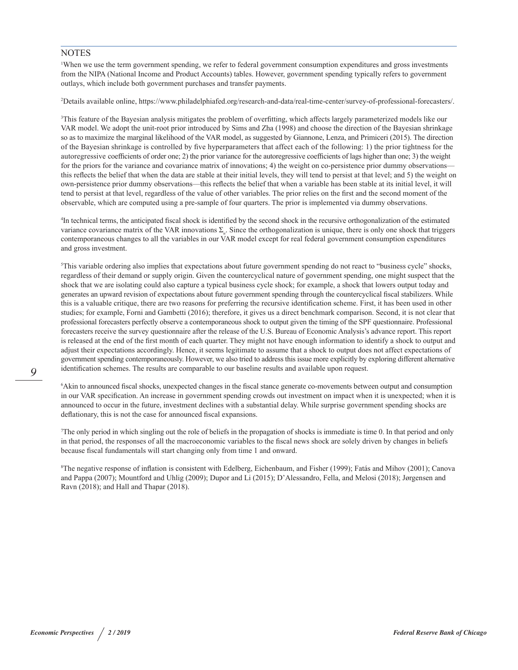#### **NOTES**

1 When we use the term government spending, we refer to federal government consumption expenditures and gross investments from the NIPA (National Income and Product Accounts) tables. However, government spending typically refers to government outlays, which include both government purchases and transfer payments.

2 Details available online,<https://www.philadelphiafed.org/research-and-data/real-time-center/survey-of-professional-forecasters/>.

3 This feature of the Bayesian analysis mitigates the problem of overfitting, which affects largely parameterized models like our VAR model. We adopt the unit-root prior introduced by Sims and Zha (1998) and choose the direction of the Bayesian shrinkage so as to maximize the marginal likelihood of the VAR model, as suggested by Giannone, Lenza, and Primiceri (2015). The direction of the Bayesian shrinkage is controlled by five hyperparameters that affect each of the following: 1) the prior tightness for the autoregressive coefficients of order one; 2) the prior variance for the autoregressive coefficients of lags higher than one; 3) the weight for the priors for the variance and covariance matrix of innovations; 4) the weight on co-persistence prior dummy observations this reflects the belief that when the data are stable at their initial levels, they will tend to persist at that level; and 5) the weight on own-persistence prior dummy observations—this reflects the belief that when a variable has been stable at its initial level, it will tend to persist at that level, regardless of the value of other variables. The prior relies on the first and the second moment of the observable, which are computed using a pre-sample of four quarters. The prior is implemented via dummy observations.

4 In technical terms, the anticipated fiscal shock is identified by the second shock in the recursive orthogonalization of the estimated variance covariance matrix of the VAR innovations Σ*<sup>u</sup>* . Since the orthogonalization is unique, there is only one shock that triggers contemporaneous changes to all the variables in our VAR model except for real federal government consumption expenditures and gross investment.

5 This variable ordering also implies that expectations about future government spending do not react to "business cycle" shocks, regardless of their demand or supply origin. Given the countercyclical nature of government spending, one might suspect that the shock that we are isolating could also capture a typical business cycle shock; for example, a shock that lowers output today and generates an upward revision of expectations about future government spending through the countercyclical fiscal stabilizers. While this is a valuable critique, there are two reasons for preferring the recursive identification scheme. First, it has been used in other studies; for example, Forni and Gambetti (2016); therefore, it gives us a direct benchmark comparison. Second, it is not clear that professional forecasters perfectly observe a contemporaneous shock to output given the timing of the SPF questionnaire. Professional forecasters receive the survey questionnaire after the release of the U.S. Bureau of Economic Analysis's advance report. This report is released at the end of the first month of each quarter. They might not have enough information to identify a shock to output and adjust their expectations accordingly. Hence, it seems legitimate to assume that a shock to output does not affect expectations of government spending contemporaneously. However, we also tried to address this issue more explicitly by exploring different alternative identification schemes. The results are comparable to our baseline results and available upon request.

6 Akin to announced fiscal shocks, unexpected changes in the fiscal stance generate co-movements between output and consumption in our VAR specification. An increase in government spending crowds out investment on impact when it is unexpected; when it is announced to occur in the future, investment declines with a substantial delay. While surprise government spending shocks are deflationary, this is not the case for announced fiscal expansions.

7 The only period in which singling out the role of beliefs in the propagation of shocks is immediate is time 0. In that period and only in that period, the responses of all the macroeconomic variables to the fiscal news shock are solely driven by changes in beliefs because fiscal fundamentals will start changing only from time 1 and onward.

8 The negative response of inflation is consistent with Edelberg, Eichenbaum, and Fisher (1999); Fatás and Mihov (2001); Canova and Pappa (2007); Mountford and Uhlig (2009); Dupor and Li (2015); D'Alessandro, Fella, and Melosi (2018); Jørgensen and Ravn (2018); and Hall and Thapar (2018).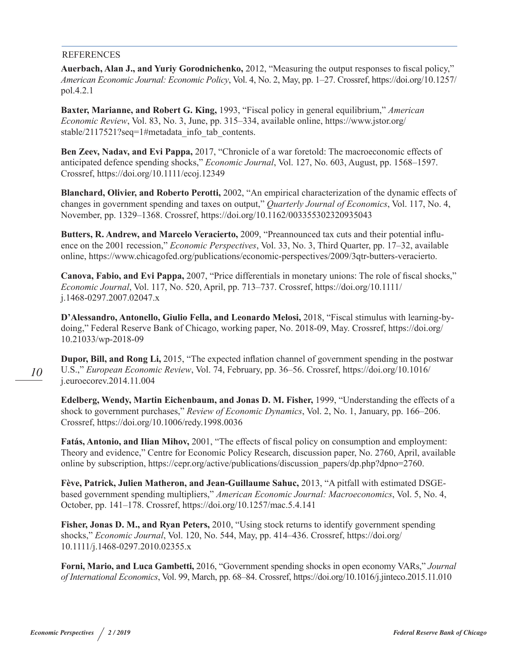#### REFERENCES

**Auerbach, Alan J., and Yuriy Gorodnichenko,** 2012, "Measuring the output responses to fiscal policy," *American Economic Journal: Economic Policy*, Vol. 4, No. 2, May, pp. 1–27. Crossref, [https://doi.org/10.1257/](https://doi.org/10.1257/pol.4.2.1
) [pol.4.2.1](https://doi.org/10.1257/pol.4.2.1
)

**Baxter, Marianne, and Robert G. King,** 1993, "Fiscal policy in general equilibrium," *American Economic Review*, Vol. 83, No. 3, June, pp. 315–334, available online, [https://www.jstor.org/](https://www.jstor.org/stable/2117521?seq=1#metadata_info_tab_contents) [stable/2117521?seq=1#metadata\\_info\\_tab\\_contents.](https://www.jstor.org/stable/2117521?seq=1#metadata_info_tab_contents)

**Ben Zeev, Nadav, and Evi Pappa,** 2017, "Chronicle of a war foretold: The macroeconomic effects of anticipated defence spending shocks," *Economic Journal*, Vol. 127, No. 603, August, pp. 1568–1597. Crossref, [https://doi.org/10.1111/ecoj.12349](https://doi.org/10.1111/ecoj.12349
)

**Blanchard, Olivier, and Roberto Perotti,** 2002, "An empirical characterization of the dynamic effects of changes in government spending and taxes on output," *Quarterly Journal of Economics*, Vol. 117, No. 4, November, pp. 1329–1368. Crossref, [https://doi.org/10.1162/003355302320935043](https://doi.org/10.1162/003355302320935043
)

**Butters, R. Andrew, and Marcelo Veracierto,** 2009, "Preannounced tax cuts and their potential influence on the 2001 recession," *Economic Perspectives*, Vol. 33, No. 3, Third Quarter, pp. 17–32, available online, <https://www.chicagofed.org/publications/economic-perspectives/2009/3qtr-butters-veracierto>.

**Canova, Fabio, and Evi Pappa,** 2007, "Price differentials in monetary unions: The role of fiscal shocks," *Economic Journal*, Vol. 117, No. 520, April, pp. 713–737. Crossref, [https://doi.org/10.1111/](https://doi.org/10.1111/j.1468-0297.2007.02047.x) [j.1468-0297.2007.02047.x](https://doi.org/10.1111/j.1468-0297.2007.02047.x)

**D'Alessandro, Antonello, Giulio Fella, and Leonardo Melosi,** 2018, "Fiscal stimulus with learning-bydoing," Federal Reserve Bank of Chicago, working paper, No. 2018-09, May. Crossref, [https://doi.org/](https://doi.org/10.21033/wp-2018-09
)  [10.21033/wp-2018-09](https://doi.org/10.21033/wp-2018-09
)

**Dupor, Bill, and Rong Li,** 2015, "The expected inflation channel of government spending in the postwar U.S.," *European Economic Review*, Vol. 74, February, pp. 36–56. Crossref, [https://doi.org/10.1016/](https://doi.org/10.1016/j.euroecorev.2014.11.004
) [j.euroecorev.2014.11.004](https://doi.org/10.1016/j.euroecorev.2014.11.004
)

**Edelberg, Wendy, Martin Eichenbaum, and Jonas D. M. Fisher,** 1999, "Understanding the effects of a shock to government purchases," *Review of Economic Dynamics*, Vol. 2, No. 1, January, pp. 166–206. Crossref, <https://doi.org/10.1006/redy.1998.0036>

**Fatás, Antonio, and Ilian Mihov,** 2001, "The effects of fiscal policy on consumption and employment: Theory and evidence," Centre for Economic Policy Research, discussion paper, No. 2760, April, available online by subscription, [https://cepr.org/active/publications/discussion\\_papers/dp.php?dpno=2760](https://cepr.org/active/publications/discussion_papers/dp.php?dpno=2760).

**Fève, Patrick, Julien Matheron, and Jean-Guillaume Sahuc,** 2013, "A pitfall with estimated DSGEbased government spending multipliers," *American Economic Journal: Macroeconomics*, Vol. 5, No. 4, October, pp. 141–178. Crossref, [https://doi.org/10.1257/mac.5.4.141](https://doi.org/10.1257/mac.5.4.141
)

**Fisher, Jonas D. M., and Ryan Peters,** 2010, "Using stock returns to identify government spending shocks," *Economic Journal*, Vol. 120, No. 544, May, pp. 414–436. Crossref, [https://doi.org/](https://doi.org/10.1111/j.1468-0297.2010.02355.x
)  [10.1111/j.1468-0297.2010.02355.x](https://doi.org/10.1111/j.1468-0297.2010.02355.x
)

**Forni, Mario, and Luca Gambetti,** 2016, "Government spending shocks in open economy VARs," *Journal of International Economics*, Vol. 99, March, pp. 68–84. Crossref, [https://doi.org/10.1016/j.jinteco.2015.11.010](https://doi.org/10.1016/j.jinteco.2015.11.010

)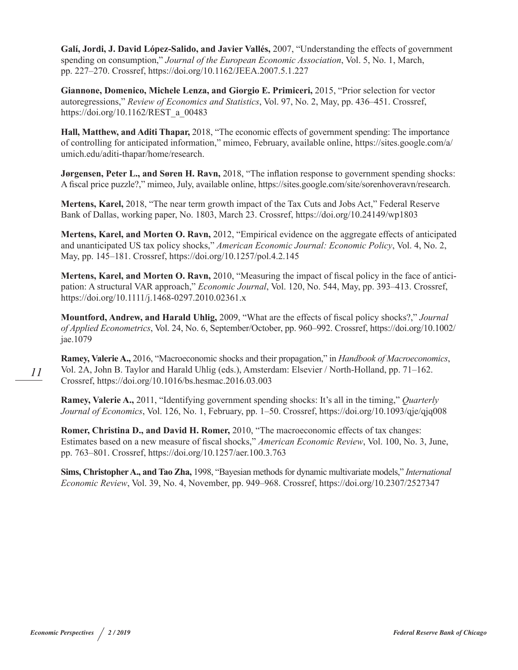**Galí, Jordi, J. David López-Salido, and Javier Vallés,** 2007, "Understanding the effects of government spending on consumption," *Journal of the European Economic Association*, Vol. 5, No. 1, March, pp. 227–270. Crossref, https://doi.org/10.1162/JEEA.2007.5.1.227

**Giannone, Domenico, Michele Lenza, and Giorgio E. Primiceri,** 2015, "Prior selection for vector autoregressions," *Review of Economics and Statistics*, Vol. 97, No. 2, May, pp. 436–451. Crossref, [https://doi.org/10.1162/REST\\_a\\_00483](https://doi.org/10.1162/REST_a_00483)

**Hall, Matthew, and Aditi Thapar,** 2018, "The economic effects of government spending: The importance of controlling for anticipated information," mimeo, February, available online, [https://sites.google.com/a/](https://sites.google.com/a/umich.edu/aditi-thapar/home/research) [umich.edu/aditi-thapar/home/research](https://sites.google.com/a/umich.edu/aditi-thapar/home/research).

**Jørgensen, Peter L., and Søren H. Ravn, 2018**, "The inflation response to government spending shocks: A fiscal price puzzle?," mimeo, July, available online, [https://sites.google.com/site/sorenhoveravn/research.](https://sites.google.com/site/sorenhoveravn/research)

**Mertens, Karel,** 2018, "The near term growth impact of the Tax Cuts and Jobs Act," Federal Reserve Bank of Dallas, working paper, No. 1803, March 23. Crossref, <https://doi.org/10.24149/wp1803>

**Mertens, Karel, and Morten O. Ravn,** 2012, "Empirical evidence on the aggregate effects of anticipated and unanticipated US tax policy shocks," *American Economic Journal: Economic Policy*, Vol. 4, No. 2, May, pp. 145–181. Crossref, [https://doi.org/10.1257/pol.4.2.145](https://doi.org/10.1257/pol.4.2.145
)

**Mertens, Karel, and Morten O. Ravn,** 2010, "Measuring the impact of fiscal policy in the face of anticipation: A structural VAR approach," *Economic Journal*, Vol. 120, No. 544, May, pp. 393–413. Crossref, <https://doi.org/10.1111/j.1468-0297.2010.02361.x>

**Mountford, Andrew, and Harald Uhlig,** 2009, "What are the effects of fiscal policy shocks?," *Journal of Applied Econometrics*, Vol. 24, No. 6, September/October, pp. 960–992. Crossref, [https://doi.org/10.1002/](https://doi.org/10.1002/jae.1079
) [jae.1079](https://doi.org/10.1002/jae.1079
)

**Ramey, Valerie A.,** 2016, "Macroeconomic shocks and their propagation," in *Handbook of Macroeconomics*, Vol. 2A, John B. Taylor and Harald Uhlig (eds.), Amsterdam: Elsevier / North-Holland, pp. 71–162. Crossref, [https://doi.org/10.1016/bs.hesmac.2016.03.003](https://doi.org/10.1016/bs.hesmac.2016.03.003
)

**Ramey, Valerie A.,** 2011, "Identifying government spending shocks: It's all in the timing," *Quarterly Journal of Economics*, Vol. 126, No. 1, February, pp. 1–50. Crossref, [https://doi.org/10.1093/qje/qjq008](https://doi.org/10.1093/qje/qjq008
)

**Romer, Christina D., and David H. Romer,** 2010, "The macroeconomic effects of tax changes: Estimates based on a new measure of fiscal shocks," *American Economic Review*, Vol. 100, No. 3, June, pp. 763–801. Crossref, [https://doi.org/10.1257/aer.100.3.763](https://doi.org/10.1257/aer.100.3.763
)

**Sims, Christopher A., and Tao Zha,** 1998, "Bayesian methods for dynamic multivariate models," *International Economic Review*, Vol. 39, No. 4, November, pp. 949–968. Crossref, <https://doi.org/10.2307/2527347>